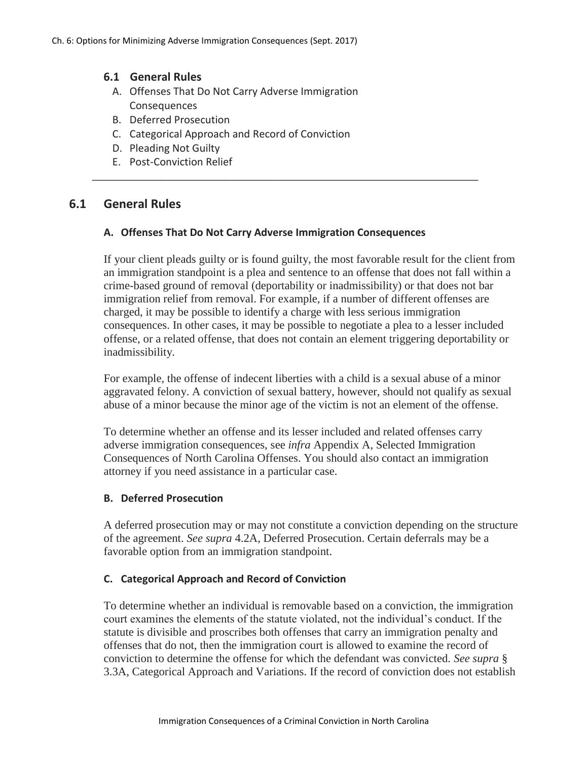## **6.1 General Rules**

- A. Offenses That Do Not Carry Adverse Immigration Consequences
- B. Deferred Prosecution
- C. Categorical Approach and Record of Conviction
- D. Pleading Not Guilty
- E. Post-Conviction Relief

# **6.1 General Rules**

### **A. Offenses That Do Not Carry Adverse Immigration Consequences**

\_\_\_\_\_\_\_\_\_\_\_\_\_\_\_\_\_\_\_\_\_\_\_\_\_\_\_\_\_\_\_\_\_\_\_\_\_\_\_\_\_\_\_\_\_\_\_\_\_\_\_\_\_\_\_\_\_\_\_\_\_\_\_\_\_\_\_

If your client pleads guilty or is found guilty, the most favorable result for the client from an immigration standpoint is a plea and sentence to an offense that does not fall within a crime-based ground of removal (deportability or inadmissibility) or that does not bar immigration relief from removal. For example, if a number of different offenses are charged, it may be possible to identify a charge with less serious immigration consequences. In other cases, it may be possible to negotiate a plea to a lesser included offense, or a related offense, that does not contain an element triggering deportability or inadmissibility.

For example, the offense of indecent liberties with a child is a sexual abuse of a minor aggravated felony. A conviction of sexual battery, however, should not qualify as sexual abuse of a minor because the minor age of the victim is not an element of the offense.

To determine whether an offense and its lesser included and related offenses carry adverse immigration consequences, see *infra* Appendix A, Selected Immigration Consequences of North Carolina Offenses. You should also contact an immigration attorney if you need assistance in a particular case.

#### **B. Deferred Prosecution**

A deferred prosecution may or may not constitute a conviction depending on the structure of the agreement. *See supra* 4.2A, Deferred Prosecution. Certain deferrals may be a favorable option from an immigration standpoint.

## **C. Categorical Approach and Record of Conviction**

To determine whether an individual is removable based on a conviction, the immigration court examines the elements of the statute violated, not the individual's conduct. If the statute is divisible and proscribes both offenses that carry an immigration penalty and offenses that do not, then the immigration court is allowed to examine the record of conviction to determine the offense for which the defendant was convicted. *See supra* § 3.3A, Categorical Approach and Variations. If the record of conviction does not establish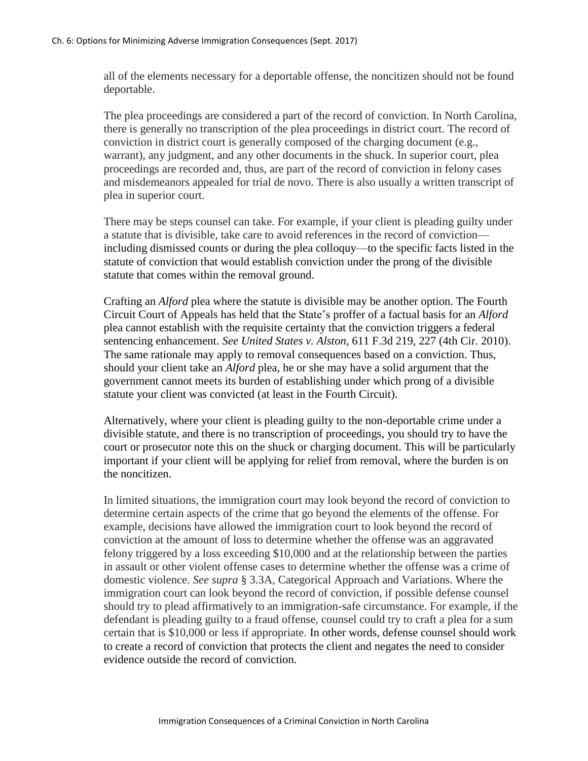all of the elements necessary for a deportable offense, the noncitizen should not be found deportable.

The plea proceedings are considered a part of the record of conviction. In North Carolina, there is generally no transcription of the plea proceedings in district court. The record of conviction in district court is generally composed of the charging document (e.g., warrant), any judgment, and any other documents in the shuck. In superior court, plea proceedings are recorded and, thus, are part of the record of conviction in felony cases and misdemeanors appealed for trial de novo. There is also usually a written transcript of plea in superior court.

There may be steps counsel can take. For example, if your client is pleading guilty under a statute that is divisible, take care to avoid references in the record of conviction including dismissed counts or during the plea colloquy—to the specific facts listed in the statute of conviction that would establish conviction under the prong of the divisible statute that comes within the removal ground.

Crafting an *Alford* plea where the statute is divisible may be another option. The Fourth Circuit Court of Appeals has held that the State's proffer of a factual basis for an *Alford* plea cannot establish with the requisite certainty that the conviction triggers a federal sentencing enhancement. *See United States v. Alston*, 611 F.3d 219, 227 (4th Cir. 2010). The same rationale may apply to removal consequences based on a conviction. Thus, should your client take an *Alford* plea, he or she may have a solid argument that the government cannot meets its burden of establishing under which prong of a divisible statute your client was convicted (at least in the Fourth Circuit).

Alternatively, where your client is pleading guilty to the non-deportable crime under a divisible statute, and there is no transcription of proceedings, you should try to have the court or prosecutor note this on the shuck or charging document. This will be particularly important if your client will be applying for relief from removal, where the burden is on the noncitizen.

In limited situations, the immigration court may look beyond the record of conviction to determine certain aspects of the crime that go beyond the elements of the offense. For example, decisions have allowed the immigration court to look beyond the record of conviction at the amount of loss to determine whether the offense was an aggravated felony triggered by a loss exceeding \$10,000 and at the relationship between the parties in assault or other violent offense cases to determine whether the offense was a crime of domestic violence. *See supra* § 3.3A, Categorical Approach and Variations. Where the immigration court can look beyond the record of conviction, if possible defense counsel should try to plead affirmatively to an immigration-safe circumstance. For example, if the defendant is pleading guilty to a fraud offense, counsel could try to craft a plea for a sum certain that is \$10,000 or less if appropriate. In other words, defense counsel should work to create a record of conviction that protects the client and negates the need to consider evidence outside the record of conviction.